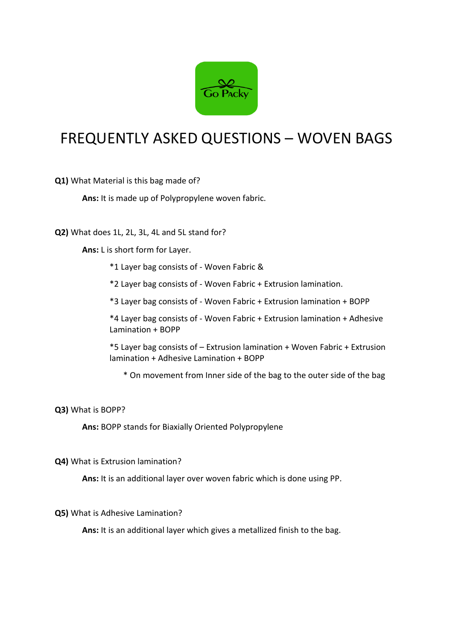

## FREQUENTLY ASKED QUESTIONS – WOVEN BAGS

**Q1)** What Material is this bag made of?

**Ans:** It is made up of Polypropylene woven fabric.

**Q2)** What does 1L, 2L, 3L, 4L and 5L stand for?

**Ans:** L is short form for Layer.

\*1 Layer bag consists of - Woven Fabric &

\*2 Layer bag consists of - Woven Fabric + Extrusion lamination.

\*3 Layer bag consists of - Woven Fabric + Extrusion lamination + BOPP

\*4 Layer bag consists of - Woven Fabric + Extrusion lamination + Adhesive Lamination + BOPP

\*5 Layer bag consists of – Extrusion lamination + Woven Fabric + Extrusion lamination + Adhesive Lamination + BOPP

\* On movement from Inner side of the bag to the outer side of the bag

## **Q3)** What is BOPP?

**Ans:** BOPP stands for Biaxially Oriented Polypropylene

**Q4)** What is Extrusion lamination?

**Ans:** It is an additional layer over woven fabric which is done using PP.

## **Q5)** What is Adhesive Lamination?

**Ans:** It is an additional layer which gives a metallized finish to the bag.